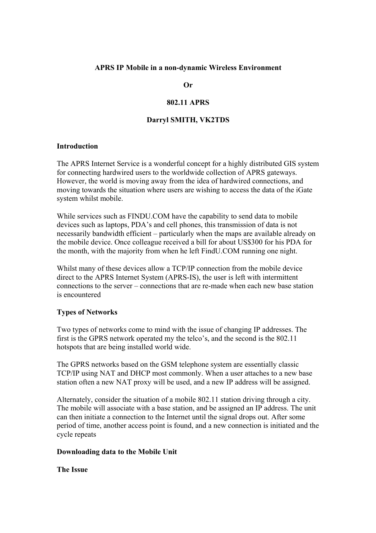### **APRS IP Mobile in a non-dynamic Wireless Environment**

**Or** 

## **802.11 APRS**

### **Darryl SMITH, VK2TDS**

#### **Introduction**

The APRS Internet Service is a wonderful concept for a highly distributed GIS system for connecting hardwired users to the worldwide collection of APRS gateways. However, the world is moving away from the idea of hardwired connections, and moving towards the situation where users are wishing to access the data of the iGate system whilst mobile.

While services such as FINDU.COM have the capability to send data to mobile devices such as laptops, PDA's and cell phones, this transmission of data is not necessarily bandwidth efficient – particularly when the maps are available already on the mobile device. Once colleague received a bill for about US\$300 for his PDA for the month, with the majority from when he left FindU.COM running one night.

Whilst many of these devices allow a TCP/IP connection from the mobile device direct to the APRS Internet System (APRS-IS), the user is left with intermittent connections to the server – connections that are re-made when each new base station is encountered

## **Types of Networks**

Two types of networks come to mind with the issue of changing IP addresses. The first is the GPRS network operated my the telco's, and the second is the 802.11 hotspots that are being installed world wide.

The GPRS networks based on the GSM telephone system are essentially classic TCP/IP using NAT and DHCP most commonly. When a user attaches to a new base station often a new NAT proxy will be used, and a new IP address will be assigned.

Alternately, consider the situation of a mobile 802.11 station driving through a city. The mobile will associate with a base station, and be assigned an IP address. The unit can then initiate a connection to the Internet until the signal drops out. After some period of time, another access point is found, and a new connection is initiated and the cycle repeats

## **Downloading data to the Mobile Unit**

**The Issue**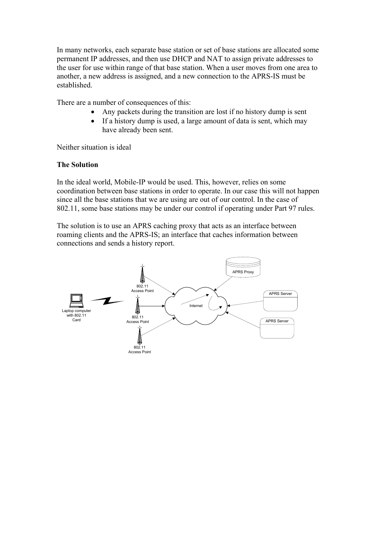In many networks, each separate base station or set of base stations are allocated some permanent IP addresses, and then use DHCP and NAT to assign private addresses to the user for use within range of that base station. When a user moves from one area to another, a new address is assigned, and a new connection to the APRS-IS must be established.

There are a number of consequences of this:

- Any packets during the transition are lost if no history dump is sent
- If a history dump is used, a large amount of data is sent, which may have already been sent.

Neither situation is ideal

# **The Solution**

In the ideal world, Mobile-IP would be used. This, however, relies on some coordination between base stations in order to operate. In our case this will not happen since all the base stations that we are using are out of our control. In the case of 802.11, some base stations may be under our control if operating under Part 97 rules.

The solution is to use an APRS caching proxy that acts as an interface between roaming clients and the APRS-IS; an interface that caches information between connections and sends a history report.

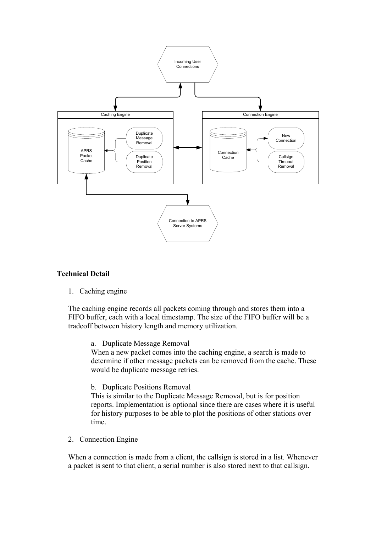

## **Technical Detail**

1. Caching engine

The caching engine records all packets coming through and stores them into a FIFO buffer, each with a local timestamp. The size of the FIFO buffer will be a tradeoff between history length and memory utilization.

a. Duplicate Message Removal

When a new packet comes into the caching engine, a search is made to determine if other message packets can be removed from the cache. These would be duplicate message retries.

#### b. Duplicate Positions Removal

This is similar to the Duplicate Message Removal, but is for position reports. Implementation is optional since there are cases where it is useful for history purposes to be able to plot the positions of other stations over time.

2. Connection Engine

When a connection is made from a client, the callsign is stored in a list. Whenever a packet is sent to that client, a serial number is also stored next to that callsign.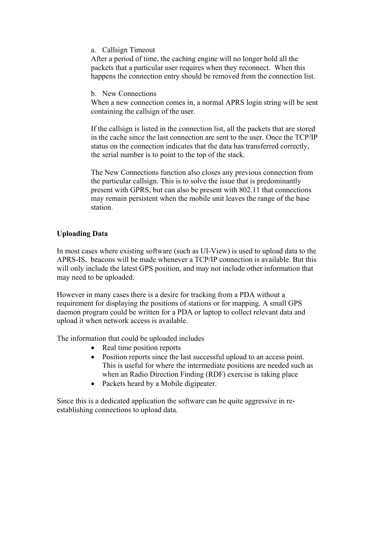a. Callsign Timeout

After a period of time, the caching engine will no longer hold all the packets that a particular user requires when they reconnect. When this happens the connection entry should be removed from the connection list.

b. New Connections

When a new connection comes in, a normal APRS login string will be sent containing the callsign of the user.

If the callsign is listed in the connection list, all the packets that are stored in the cache since the last connection are sent to the user. Once the TCP/IP status on the connection indicates that the data has transferred correctly, the serial number is to point to the top of the stack.

The New Connections function also closes any previous connection from the particular callsign. This is to solve the issue that is predominantly present with GPRS, but can also be present with 802.11 that connections may remain persistent when the mobile unit leaves the range of the base station.

# **Uploading Data**

In most cases where existing software (such as UI-View) is used to upload data to the APRS-IS, beacons will be made whenever a TCP/IP connection is available. But this will only include the latest GPS position, and may not include other information that may need to be uploaded.

However in many cases there is a desire for tracking from a PDA without a requirement for displaying the positions of stations or for mapping. A small GPS daemon program could be written for a PDA or laptop to collect relevant data and upload it when network access is available.

The information that could be uploaded includes

- Real time position reports
- Position reports since the last successful upload to an access point. This is useful for where the intermediate positions are needed such as when an Radio Direction Finding (RDF) exercise is taking place
- Packets heard by a Mobile digipeater.

Since this is a dedicated application the software can be quite aggressive in reestablishing connections to upload data.